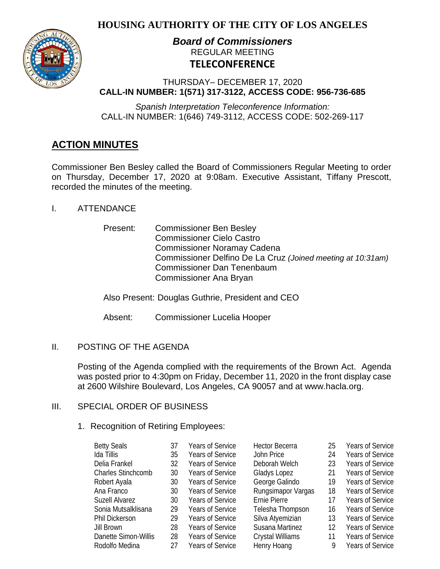# **HOUSING AUTHORITY OF THE CITY OF LOS ANGELES**



# *Board of Commissioners* REGULAR MEETING **TELECONFERENCE**

THURSDAY– DECEMBER 17, 2020 **CALL-IN NUMBER: 1(571) 317-3122, ACCESS CODE: 956-736-685**

*Spanish Interpretation Teleconference Information:* CALL-IN NUMBER: 1(646) 749-3112, ACCESS CODE: 502-269-117

# **ACTION MINUTES**

Commissioner Ben Besley called the Board of Commissioners Regular Meeting to order on Thursday, December 17, 2020 at 9:08am. Executive Assistant, Tiffany Prescott, recorded the minutes of the meeting.

- I. ATTENDANCE
	- Present: Commissioner Ben Besley Commissioner Cielo Castro Commissioner Noramay Cadena Commissioner Delfino De La Cruz *(Joined meeting at 10:31am)* Commissioner Dan Tenenbaum Commissioner Ana Bryan

Also Present: Douglas Guthrie, President and CEO

Absent: Commissioner Lucelia Hooper

# II. POSTING OF THE AGENDA

Posting of the Agenda complied with the requirements of the Brown Act. Agenda was posted prior to 4:30pm on Friday, December 11, 2020 in the front display case at 2600 Wilshire Boulevard, Los Angeles, CA 90057 and at [www.hacla.org.](about:blank)

# III. SPECIAL ORDER OF BUSINESS

## 1. Recognition of Retiring Employees:

| <b>Betty Seals</b>        | 37 | <b>Years of Service</b> | <b>Hector Becerra</b> | 25 | Years of Service        |
|---------------------------|----|-------------------------|-----------------------|----|-------------------------|
| Ida Tillis                | 35 | <b>Years of Service</b> | John Price            | 24 | <b>Years of Service</b> |
| Delia Frankel             | 32 | <b>Years of Service</b> | Deborah Welch         | 23 | <b>Years of Service</b> |
| <b>Charles Stinchcomb</b> | 30 | Years of Service        | Gladys Lopez          | 21 | <b>Years of Service</b> |
| Robert Ayala              | 30 | <b>Years of Service</b> | George Galindo        | 19 | Years of Service        |
| Ana Franco                | 30 | <b>Years of Service</b> | Rungsimapor Vargas    | 18 | <b>Years of Service</b> |
| Suzell Alvarez            | 30 | Years of Service        | Ernie Pierre          | 17 | <b>Years of Service</b> |
| Sonia Mutsalklisana       | 29 | Years of Service        | Telesha Thompson      | 16 | <b>Years of Service</b> |
| Phil Dickerson            | 29 | Years of Service        | Silva Atyemizian      | 13 | Years of Service        |
| Jill Brown                | 28 | Years of Service        | Susana Martinez       | 12 | Years of Service        |
| Danette Simon-Willis      | 28 | <b>Years of Service</b> | Crystal Williams      | 11 | Years of Service        |
| Rodolfo Medina            | 27 | <b>Years of Service</b> | Henry Hoang           | 9  | <b>Years of Service</b> |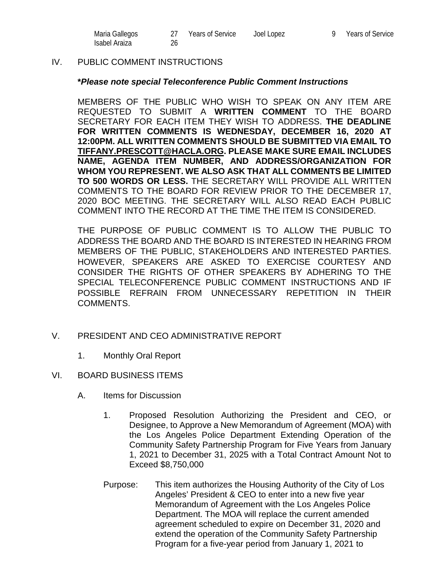| Maria Gallegos | <b>Years of Service</b> | Joel Lopez | 9 Years of Service |
|----------------|-------------------------|------------|--------------------|
| Isabel Araiza  |                         |            |                    |

#### IV. PUBLIC COMMENT INSTRUCTIONS

#### **\****Please note special Teleconference Public Comment Instructions*

MEMBERS OF THE PUBLIC WHO WISH TO SPEAK ON ANY ITEM ARE REQUESTED TO SUBMIT A **WRITTEN COMMENT** TO THE BOARD SECRETARY FOR EACH ITEM THEY WISH TO ADDRESS. **THE DEADLINE FOR WRITTEN COMMENTS IS WEDNESDAY, DECEMBER 16, 2020 AT 12:00PM. ALL WRITTEN COMMENTS SHOULD BE SUBMITTED VIA EMAIL TO [TIFFANY.PRESCOTT@HACLA.ORG.](about:blank) PLEASE MAKE SURE EMAIL INCLUDES NAME, AGENDA ITEM NUMBER, AND ADDRESS/ORGANIZATION FOR WHOM YOU REPRESENT. WE ALSO ASK THAT ALL COMMENTS BE LIMITED TO 500 WORDS OR LESS.** THE SECRETARY WILL PROVIDE ALL WRITTEN COMMENTS TO THE BOARD FOR REVIEW PRIOR TO THE DECEMBER 17, 2020 BOC MEETING. THE SECRETARY WILL ALSO READ EACH PUBLIC COMMENT INTO THE RECORD AT THE TIME THE ITEM IS CONSIDERED.

THE PURPOSE OF PUBLIC COMMENT IS TO ALLOW THE PUBLIC TO ADDRESS THE BOARD AND THE BOARD IS INTERESTED IN HEARING FROM MEMBERS OF THE PUBLIC, STAKEHOLDERS AND INTERESTED PARTIES. HOWEVER, SPEAKERS ARE ASKED TO EXERCISE COURTESY AND CONSIDER THE RIGHTS OF OTHER SPEAKERS BY ADHERING TO THE SPECIAL TELECONFERENCE PUBLIC COMMENT INSTRUCTIONS AND IF POSSIBLE REFRAIN FROM UNNECESSARY REPETITION IN THEIR COMMENTS.

- V. PRESIDENT AND CEO ADMINISTRATIVE REPORT
	- 1. Monthly Oral Report
- VI. BOARD BUSINESS ITEMS
	- A. Items for Discussion
		- 1. Proposed Resolution Authorizing the President and CEO, or Designee, to Approve a New Memorandum of Agreement (MOA) with the Los Angeles Police Department Extending Operation of the Community Safety Partnership Program for Five Years from January 1, 2021 to December 31, 2025 with a Total Contract Amount Not to Exceed \$8,750,000
		- Purpose: This item authorizes the Housing Authority of the City of Los Angeles' President & CEO to enter into a new five year Memorandum of Agreement with the Los Angeles Police Department. The MOA will replace the current amended agreement scheduled to expire on December 31, 2020 and extend the operation of the Community Safety Partnership Program for a five-year period from January 1, 2021 to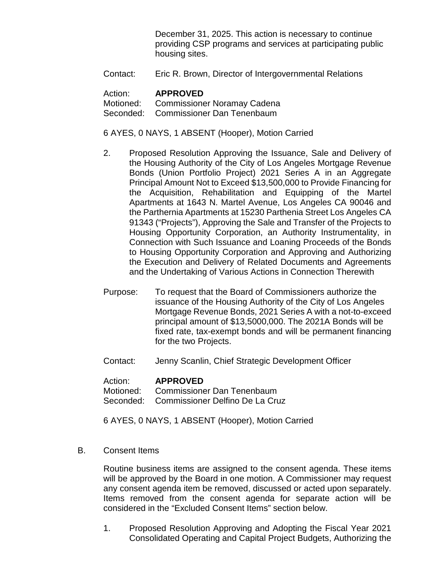December 31, 2025. This action is necessary to continue providing CSP programs and services at participating public housing sites.

Contact: Eric R. Brown, Director of Intergovernmental Relations

#### Action: **APPROVED**

Motioned: Commissioner Noramay Cadena Seconded: Commissioner Dan Tenenbaum

#### 6 AYES, 0 NAYS, 1 ABSENT (Hooper), Motion Carried

- 2. Proposed Resolution Approving the Issuance, Sale and Delivery of the Housing Authority of the City of Los Angeles Mortgage Revenue Bonds (Union Portfolio Project) 2021 Series A in an Aggregate Principal Amount Not to Exceed \$13,500,000 to Provide Financing for the Acquisition, Rehabilitation and Equipping of the Martel Apartments at 1643 N. Martel Avenue, Los Angeles CA 90046 and the Parthernia Apartments at 15230 Parthenia Street Los Angeles CA 91343 ("Projects"), Approving the Sale and Transfer of the Projects to Housing Opportunity Corporation, an Authority Instrumentality, in Connection with Such Issuance and Loaning Proceeds of the Bonds to Housing Opportunity Corporation and Approving and Authorizing the Execution and Delivery of Related Documents and Agreements and the Undertaking of Various Actions in Connection Therewith
- Purpose: To request that the Board of Commissioners authorize the issuance of the Housing Authority of the City of Los Angeles Mortgage Revenue Bonds, 2021 Series A with a not-to-exceed principal amount of \$13,5000,000. The 2021A Bonds will be fixed rate, tax-exempt bonds and will be permanent financing for the two Projects.
- Contact: Jenny Scanlin, Chief Strategic Development Officer

#### Action: **APPROVED**

Motioned: Commissioner Dan Tenenbaum Seconded: Commissioner Delfino De La Cruz

6 AYES, 0 NAYS, 1 ABSENT (Hooper), Motion Carried

B. Consent Items

Routine business items are assigned to the consent agenda. These items will be approved by the Board in one motion. A Commissioner may request any consent agenda item be removed, discussed or acted upon separately. Items removed from the consent agenda for separate action will be considered in the "Excluded Consent Items" section below.

1. Proposed Resolution Approving and Adopting the Fiscal Year 2021 Consolidated Operating and Capital Project Budgets, Authorizing the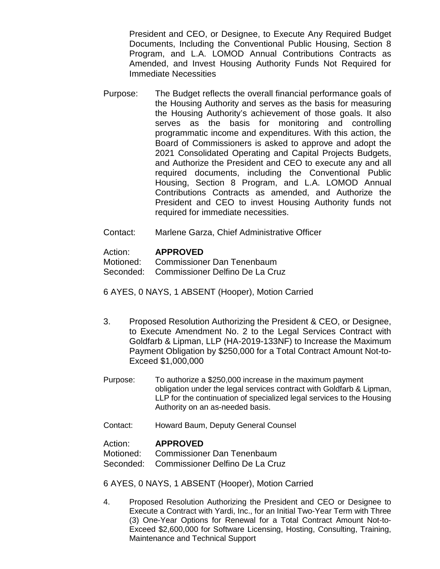President and CEO, or Designee, to Execute Any Required Budget Documents, Including the Conventional Public Housing, Section 8 Program, and L.A. LOMOD Annual Contributions Contracts as Amended, and Invest Housing Authority Funds Not Required for Immediate Necessities

- Purpose: The Budget reflects the overall financial performance goals of the Housing Authority and serves as the basis for measuring the Housing Authority's achievement of those goals. It also serves as the basis for monitoring and controlling programmatic income and expenditures. With this action, the Board of Commissioners is asked to approve and adopt the 2021 Consolidated Operating and Capital Projects Budgets, and Authorize the President and CEO to execute any and all required documents, including the Conventional Public Housing, Section 8 Program, and L.A. LOMOD Annual Contributions Contracts as amended, and Authorize the President and CEO to invest Housing Authority funds not required for immediate necessities.
- Contact: Marlene Garza, Chief Administrative Officer

#### Action: **APPROVED**

Motioned: Commissioner Dan Tenenbaum

Seconded: Commissioner Delfino De La Cruz

6 AYES, 0 NAYS, 1 ABSENT (Hooper), Motion Carried

- 3. Proposed Resolution Authorizing the President & CEO, or Designee, to Execute Amendment No. 2 to the Legal Services Contract with Goldfarb & Lipman, LLP (HA-2019-133NF) to Increase the Maximum Payment Obligation by \$250,000 for a Total Contract Amount Not-to-Exceed \$1,000,000
- Purpose: To authorize a \$250,000 increase in the maximum payment obligation under the legal services contract with Goldfarb & Lipman, LLP for the continuation of specialized legal services to the Housing Authority on an as-needed basis.
- Contact: Howard Baum, Deputy General Counsel

#### Action: **APPROVED**

Motioned: Commissioner Dan Tenenbaum

Seconded: Commissioner Delfino De La Cruz

6 AYES, 0 NAYS, 1 ABSENT (Hooper), Motion Carried

4. Proposed Resolution Authorizing the President and CEO or Designee to Execute a Contract with Yardi, Inc., for an Initial Two-Year Term with Three (3) One-Year Options for Renewal for a Total Contract Amount Not-to-Exceed \$2,600,000 for Software Licensing, Hosting, Consulting, Training, Maintenance and Technical Support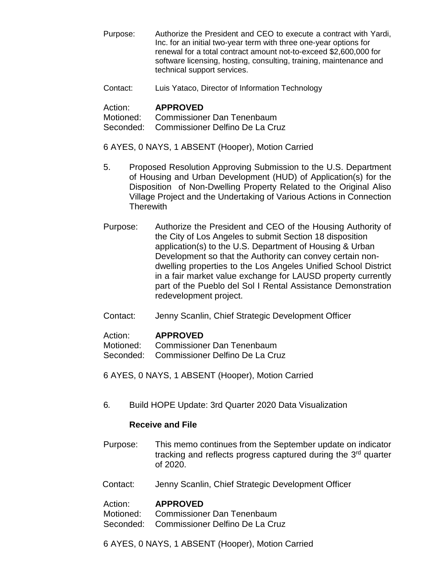- Purpose: Authorize the President and CEO to execute a contract with Yardi, Inc. for an initial two-year term with three one-year options for renewal for a total contract amount not-to-exceed \$2,600,000 for software licensing, hosting, consulting, training, maintenance and technical support services.
- Contact: Luis Yataco, Director of Information Technology

### Action: **APPROVED**

Motioned: Commissioner Dan Tenenbaum

Seconded: Commissioner Delfino De La Cruz

- 6 AYES, 0 NAYS, 1 ABSENT (Hooper), Motion Carried
- 5. Proposed Resolution Approving Submission to the U.S. Department of Housing and Urban Development (HUD) of Application(s) for the Disposition of Non-Dwelling Property Related to the Original Aliso Village Project and the Undertaking of Various Actions in Connection **Therewith**
- Purpose: Authorize the President and CEO of the Housing Authority of the City of Los Angeles to submit Section 18 disposition application(s) to the U.S. Department of Housing & Urban Development so that the Authority can convey certain nondwelling properties to the Los Angeles Unified School District in a fair market value exchange for LAUSD property currently part of the Pueblo del Sol I Rental Assistance Demonstration redevelopment project.
- Contact: Jenny Scanlin, Chief Strategic Development Officer

## Action: **APPROVED**

Motioned: Commissioner Dan Tenenbaum

- Seconded: Commissioner Delfino De La Cruz
- 6 AYES, 0 NAYS, 1 ABSENT (Hooper), Motion Carried
- 6*.* Build HOPE Update: 3rd Quarter 2020 Data Visualization

## **Receive and File**

- Purpose: This memo continues from the September update on indicator tracking and reflects progress captured during the 3<sup>rd</sup> quarter of 2020.
- Contact: Jenny Scanlin, Chief Strategic Development Officer

#### Action: **APPROVED**

Motioned: Commissioner Dan Tenenbaum

- Seconded: Commissioner Delfino De La Cruz
- 6 AYES, 0 NAYS, 1 ABSENT (Hooper), Motion Carried